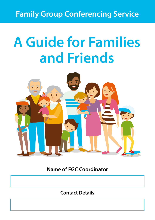## **Family Group Conferencing Service**

# **A Guide for Families and Friends**



**Name of FGC Coordinator**

**Contact Details**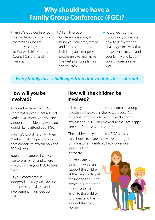## **Why should we have a Family Group Conference (FGC)?**

- Family Group Conference is an independent service for families who are currently being supported by Warwickshire County Council Children and Families.
- A Family Group Conference is a way to bring your children, family and friends together to build on your strengths, problem-solve and make the best possible plan for the children.
- FGC gives you the opportunity to decide how to deal with the challenges in a way that makes sense to you and your family and keeps your children safe and well.

#### *Every family faces challenges from time to time, this is normal.*

#### **How will you be involved?**

A trained, independent FGC Coordinator (who is not a social worker) will meet with you and support you to identify who you would like to attend your FGC.

Your FGC Coordinator will then meet with all the people you have chosen, to explain how the FGC will work.

Your coordinator will work with you to plan when and where you would like your FGC to take place.

As your coordinator is independent, they will have no other professional role and no involvement in any decision making.

#### **How will the children be involved?**

It is really important that the children or young people are involved in the FGC process. Your coordinator may ask to talk to the children to explain about FGC and make sure they are happy and comfortable with the idea.

The children may attend the FGC or they can choose to share their views through the coordinator, an identified key worker or an independent

advocate.

An advocate is someone who can support the children at the meeting to put their views andwishes across. It is important for everyone to listen to the children to understand the support that they require.

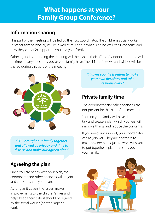## **What happens at your Family Group Conference?**

### **Information sharing**

This part of the meeting will be led by the FGC Coordinator. The children's social worker (or other agreed worker) will be asked to talk about what is going well, their concerns and how they can offer support to you and your family.

Other agencies attending the meeting will then share their offers of support and there will be time for any questions you or your family have. The children's views and wishes will be shared during this part of the meeting.



*"FGC brought our family together and allowed us privacy and time to discuss and make our agreed plan."*

## **Agreeing the plan**

Once you are happy with your plan, the coordinator and other agencies will re-join and you can share your plan.

As long as it covers the issues, makes improvements to the children's lives and helps keep them safe, it should be agreed by the social worker (or other agreed worker).

*"It gives you the freedom to make your own decisions and take responsibility."*

## **Private family time**

The coordinator and other agencies are not present for this part of the meeting.

You and your family will have time to talk and create a plan which you feel will improve things and reduce the concerns.

If you need any support, your coordinator can re-join you. They are not there to make any decisions, just to work with you to put together a plan that suits you and your family.